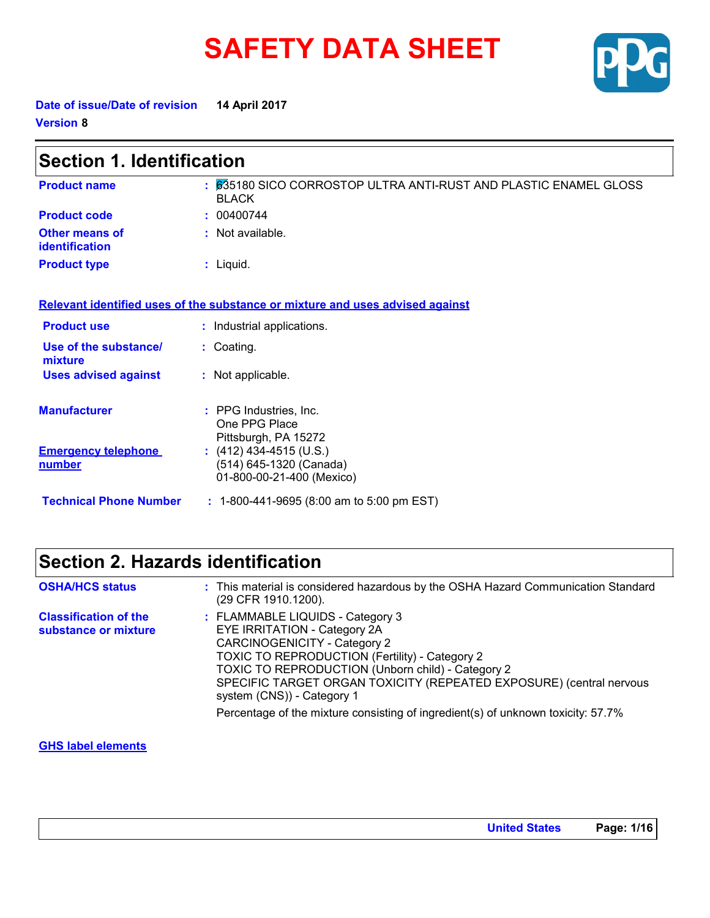# **SAFETY DATA SHEET**



**Date of issue/Date of revision 14 April 2017 Version 8**

| <b>Section 1. Identification</b>        |                                                                                  |  |
|-----------------------------------------|----------------------------------------------------------------------------------|--|
| <b>Product name</b>                     | : 635180 SICO CORROSTOP ULTRA ANTI-RUST AND PLASTIC ENAMEL GLOSS<br><b>BLACK</b> |  |
| <b>Product code</b>                     | : 00400744                                                                       |  |
| Other means of<br><i>identification</i> | $\therefore$ Not available.                                                      |  |
| <b>Product type</b>                     | $:$ Liquid.                                                                      |  |
|                                         | Relevant identified uses of the substance or mixture and uses advised against    |  |
| <b>Product use</b>                      | : Industrial applications.                                                       |  |
| Use of the substance/<br>mixture        | $:$ Coating.                                                                     |  |
| <b>Uses advised against</b>             | : Not applicable.                                                                |  |
| <b>Manufacturer</b>                     | : PPG Industries, Inc.<br>One PPG Place<br>Pittsburgh, PA 15272                  |  |
| <b>Emergency telephone</b><br>number    | $(412)$ 434-4515 (U.S.)<br>(514) 645-1320 (Canada)<br>01-800-00-21-400 (Mexico)  |  |

**Technical Phone Number :** 1-800-441-9695 (8:00 am to 5:00 pm EST)

### **Section 2. Hazards identification**

| <b>OSHA/HCS status</b>                               | : This material is considered hazardous by the OSHA Hazard Communication Standard<br>(29 CFR 1910.1200).                                                                                                                                                                                                                   |
|------------------------------------------------------|----------------------------------------------------------------------------------------------------------------------------------------------------------------------------------------------------------------------------------------------------------------------------------------------------------------------------|
| <b>Classification of the</b><br>substance or mixture | : FLAMMABLE LIQUIDS - Category 3<br><b>EYE IRRITATION - Category 2A</b><br><b>CARCINOGENICITY - Category 2</b><br>TOXIC TO REPRODUCTION (Fertility) - Category 2<br>TOXIC TO REPRODUCTION (Unborn child) - Category 2<br>SPECIFIC TARGET ORGAN TOXICITY (REPEATED EXPOSURE) (central nervous<br>system (CNS)) - Category 1 |
|                                                      | Percentage of the mixture consisting of ingredient(s) of unknown toxicity: 57.7%                                                                                                                                                                                                                                           |

#### **GHS label elements**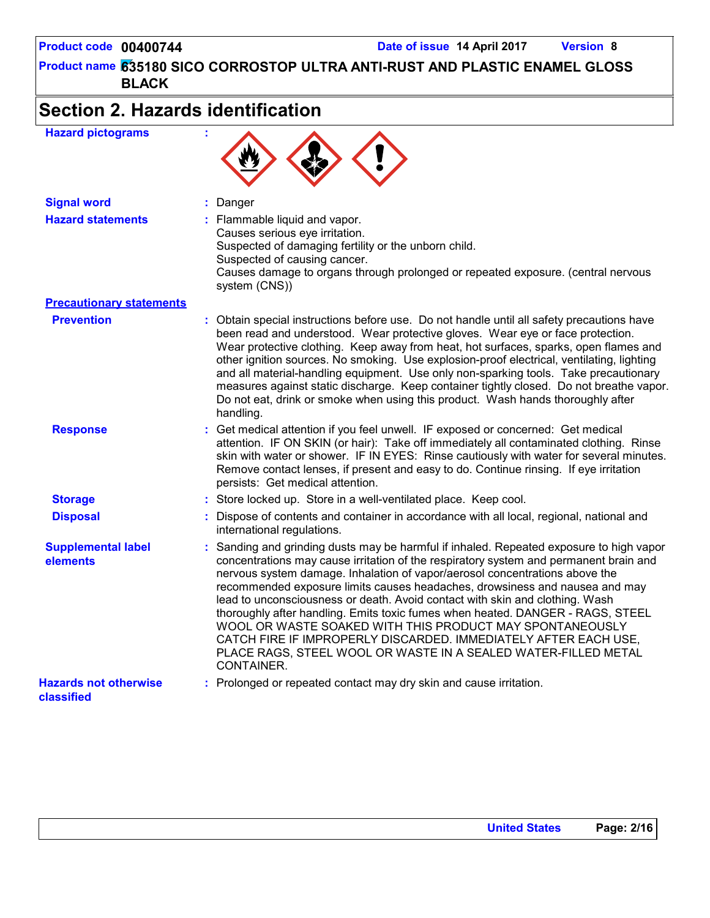### **Section 2. Hazards identification**

**Signal word :** Danger **Hazard statements :** Flammable liquid and vapor. Causes serious eye irritation. Suspected of damaging fertility or the unborn child. Suspected of causing cancer. Causes damage to organs through prolonged or repeated exposure. (central nervous system (CNS)) **Hazard pictograms : Precautionary statements Prevention :** Obtain special instructions before use. Do not handle until all safety precautions have been read and understood. Wear protective gloves. Wear eye or face protection. Wear protective clothing. Keep away from heat, hot surfaces, sparks, open flames and other ignition sources. No smoking. Use explosion-proof electrical, ventilating, lighting and all material-handling equipment. Use only non-sparking tools. Take precautionary measures against static discharge. Keep container tightly closed. Do not breathe vapor. Do not eat, drink or smoke when using this product. Wash hands thoroughly after handling. **Response :** Get medical attention if you feel unwell. IF exposed or concerned: Get medical attention. IF ON SKIN (or hair): Take off immediately all contaminated clothing. Rinse skin with water or shower. IF IN EYES: Rinse cautiously with water for several minutes. Remove contact lenses, if present and easy to do. Continue rinsing. If eye irritation persists: Get medical attention. **Storage <b>Exercice 3** : Store locked up. Store in a well-ventilated place. Keep cool. **Disposal :** Dispose of contents and container in accordance with all local, regional, national and international regulations. **Supplemental label elements :** Sanding and grinding dusts may be harmful if inhaled. Repeated exposure to high vapor concentrations may cause irritation of the respiratory system and permanent brain and nervous system damage. Inhalation of vapor/aerosol concentrations above the recommended exposure limits causes headaches, drowsiness and nausea and may lead to unconsciousness or death. Avoid contact with skin and clothing. Wash thoroughly after handling. Emits toxic fumes when heated. DANGER - RAGS, STEEL WOOL OR WASTE SOAKED WITH THIS PRODUCT MAY SPONTANEOUSLY CATCH FIRE IF IMPROPERLY DISCARDED. IMMEDIATELY AFTER EACH USE, PLACE RAGS, STEEL WOOL OR WASTE IN A SEALED WATER-FILLED METAL CONTAINER. **Hazards not otherwise classified :** Prolonged or repeated contact may dry skin and cause irritation.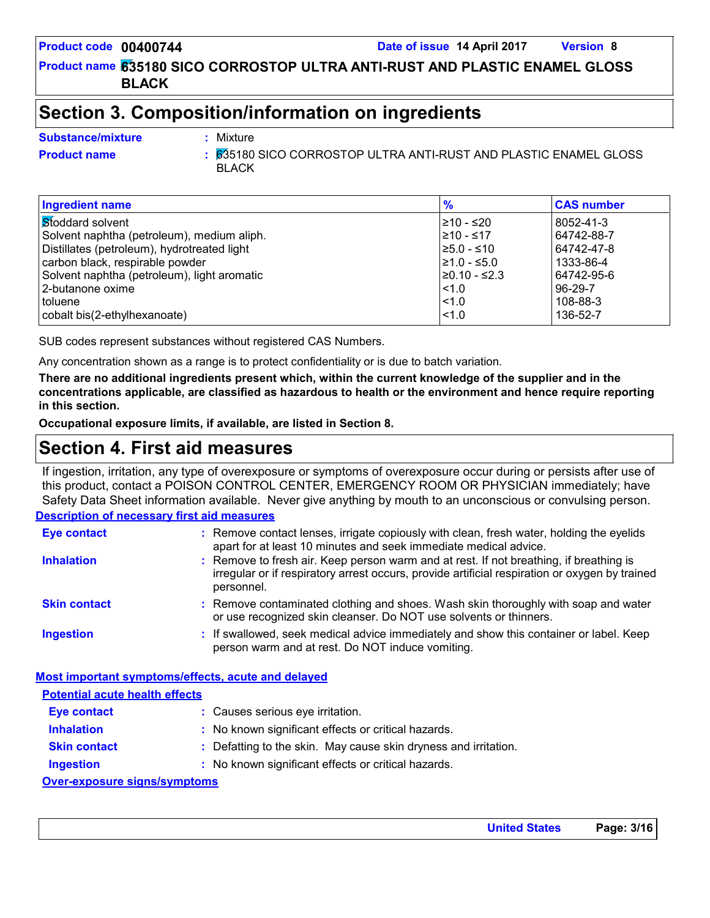### **Section 3. Composition/information on ingredients**

Mixture

#### **Substance/mixture :**

**Product name** 635180 SICO CORROSTOP ULTRA ANTI-RUST AND PLASTIC ENAMEL GLOSS **:** BLACK

| <b>Ingredient name</b>                      | $\frac{9}{6}$    | <b>CAS number</b> |
|---------------------------------------------|------------------|-------------------|
| Stoddard solvent                            | 210 - ≤20        | 8052-41-3         |
| Solvent naphtha (petroleum), medium aliph.  | l≥10 - ≤17       | 64742-88-7        |
| Distillates (petroleum), hydrotreated light | l≥5.0 - ≤10      | 64742-47-8        |
| carbon black, respirable powder             | $\geq 1.0 - 5.0$ | 1333-86-4         |
| Solvent naphtha (petroleum), light aromatic | l≥0.10 - ≤2.3    | 64742-95-6        |
| l 2-butanone oxime                          | < 1.0            | 96-29-7           |
| <b>Itoluene</b>                             | < 1.0            | 108-88-3          |
| cobalt bis(2-ethylhexanoate)                | < 1.0            | 136-52-7          |

SUB codes represent substances without registered CAS Numbers.

Any concentration shown as a range is to protect confidentiality or is due to batch variation.

**There are no additional ingredients present which, within the current knowledge of the supplier and in the concentrations applicable, are classified as hazardous to health or the environment and hence require reporting in this section.**

**Occupational exposure limits, if available, are listed in Section 8.**

### **Section 4. First aid measures**

If ingestion, irritation, any type of overexposure or symptoms of overexposure occur during or persists after use of this product, contact a POISON CONTROL CENTER, EMERGENCY ROOM OR PHYSICIAN immediately; have Safety Data Sheet information available. Never give anything by mouth to an unconscious or convulsing person.

#### **Description of necessary first aid measures**

| <b>Eye contact</b>  | : Remove contact lenses, irrigate copiously with clean, fresh water, holding the eyelids<br>apart for at least 10 minutes and seek immediate medical advice.                                           |
|---------------------|--------------------------------------------------------------------------------------------------------------------------------------------------------------------------------------------------------|
| <b>Inhalation</b>   | : Remove to fresh air. Keep person warm and at rest. If not breathing, if breathing is<br>irregular or if respiratory arrest occurs, provide artificial respiration or oxygen by trained<br>personnel. |
| <b>Skin contact</b> | : Remove contaminated clothing and shoes. Wash skin thoroughly with soap and water<br>or use recognized skin cleanser. Do NOT use solvents or thinners.                                                |
| <b>Ingestion</b>    | : If swallowed, seek medical advice immediately and show this container or label. Keep<br>person warm and at rest. Do NOT induce vomiting.                                                             |

### **Potential acute health effects**

| <b>Eye contact</b>                  |  | : Causes serious eye irritation.                                |
|-------------------------------------|--|-----------------------------------------------------------------|
| <b>Inhalation</b>                   |  | : No known significant effects or critical hazards.             |
| <b>Skin contact</b>                 |  | : Defatting to the skin. May cause skin dryness and irritation. |
| <b>Ingestion</b>                    |  | : No known significant effects or critical hazards.             |
| <b>Over-exposure signs/symptoms</b> |  |                                                                 |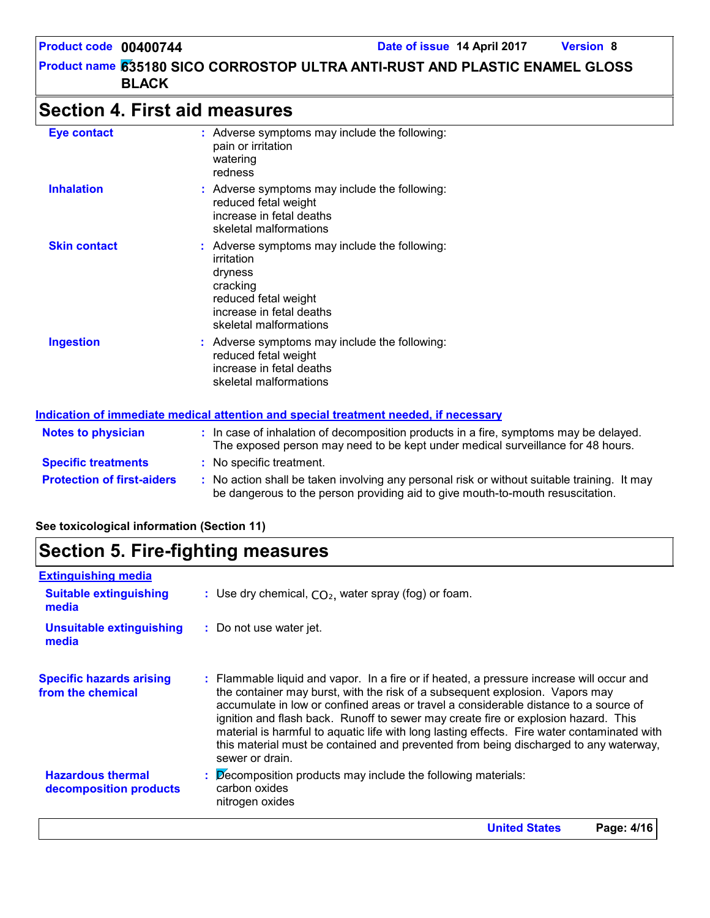### **Section 4. First aid measures**

| <b>Eye contact</b>  | : Adverse symptoms may include the following:<br>pain or irritation<br>watering<br>redness                                                                       |
|---------------------|------------------------------------------------------------------------------------------------------------------------------------------------------------------|
| <b>Inhalation</b>   | : Adverse symptoms may include the following:<br>reduced fetal weight<br>increase in fetal deaths<br>skeletal malformations                                      |
| <b>Skin contact</b> | : Adverse symptoms may include the following:<br>irritation<br>dryness<br>cracking<br>reduced fetal weight<br>increase in fetal deaths<br>skeletal malformations |
| <b>Ingestion</b>    | : Adverse symptoms may include the following:<br>reduced fetal weight<br>increase in fetal deaths<br>skeletal malformations                                      |

#### **Protection of first-aiders** : No action shall be taken involving any personal risk or without suitable training. It may be dangerous to the person providing aid to give mouth-to-mouth resuscitation. **Notes to physician :** In case of inhalation of decomposition products in a fire, symptoms may be delayed. The exposed person may need to be kept under medical surveillance for 48 hours. **Specific treatments :** No specific treatment. **Indication of immediate medical attention and special treatment needed, if necessary**

#### **See toxicological information (Section 11)**

### **Section 5. Fire-fighting measures**

| <b>Extinguishing media</b>                           |                                                                                                                                                                                                                                                                                                                                                                                                                                                                                                                                                                  |
|------------------------------------------------------|------------------------------------------------------------------------------------------------------------------------------------------------------------------------------------------------------------------------------------------------------------------------------------------------------------------------------------------------------------------------------------------------------------------------------------------------------------------------------------------------------------------------------------------------------------------|
| <b>Suitable extinguishing</b><br>media               | : Use dry chemical, $CO2$ , water spray (fog) or foam.                                                                                                                                                                                                                                                                                                                                                                                                                                                                                                           |
| <b>Unsuitable extinguishing</b><br>media             | : Do not use water jet.                                                                                                                                                                                                                                                                                                                                                                                                                                                                                                                                          |
| <b>Specific hazards arising</b><br>from the chemical | : Flammable liquid and vapor. In a fire or if heated, a pressure increase will occur and<br>the container may burst, with the risk of a subsequent explosion. Vapors may<br>accumulate in low or confined areas or travel a considerable distance to a source of<br>ignition and flash back. Runoff to sewer may create fire or explosion hazard. This<br>material is harmful to aquatic life with long lasting effects. Fire water contaminated with<br>this material must be contained and prevented from being discharged to any waterway,<br>sewer or drain. |
| <b>Hazardous thermal</b><br>decomposition products   | Decomposition products may include the following materials:<br>carbon oxides<br>nitrogen oxides                                                                                                                                                                                                                                                                                                                                                                                                                                                                  |
|                                                      | <b>United States</b><br>Page: 4/16                                                                                                                                                                                                                                                                                                                                                                                                                                                                                                                               |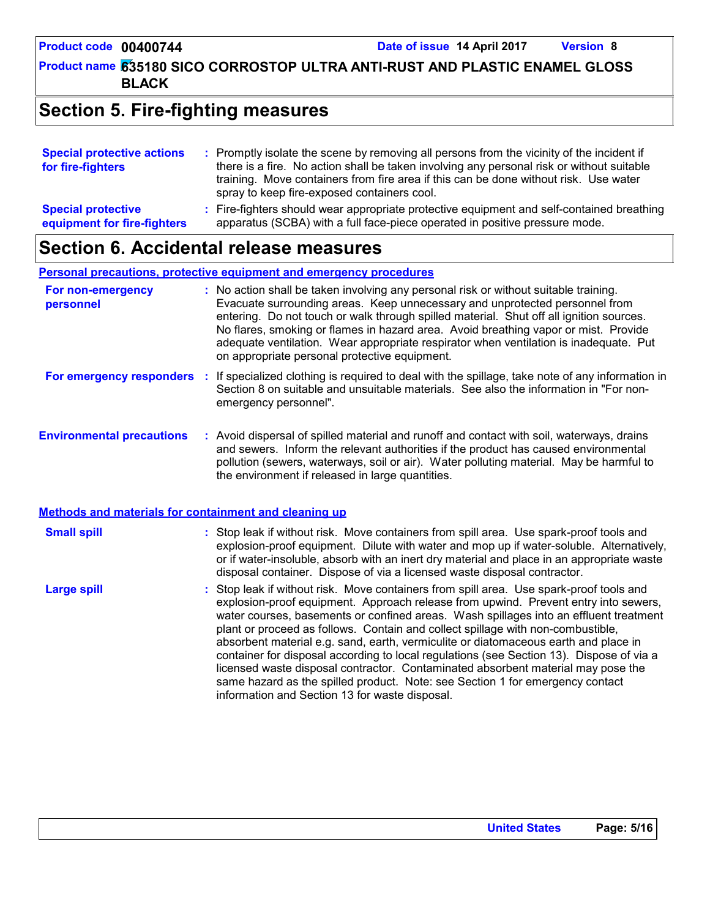### **Section 5. Fire-fighting measures**

| <b>Special protective actions</b><br>for fire-fighters   | : Promptly isolate the scene by removing all persons from the vicinity of the incident if<br>there is a fire. No action shall be taken involving any personal risk or without suitable<br>training. Move containers from fire area if this can be done without risk. Use water<br>spray to keep fire-exposed containers cool. |
|----------------------------------------------------------|-------------------------------------------------------------------------------------------------------------------------------------------------------------------------------------------------------------------------------------------------------------------------------------------------------------------------------|
| <b>Special protective</b><br>equipment for fire-fighters | : Fire-fighters should wear appropriate protective equipment and self-contained breathing<br>apparatus (SCBA) with a full face-piece operated in positive pressure mode.                                                                                                                                                      |

### **Section 6. Accidental release measures**

**Personal precautions, protective equipment and emergency procedures**

| For non-emergency<br>personnel | : No action shall be taken involving any personal risk or without suitable training.<br>Evacuate surrounding areas. Keep unnecessary and unprotected personnel from<br>entering. Do not touch or walk through spilled material. Shut off all ignition sources.<br>No flares, smoking or flames in hazard area. Avoid breathing vapor or mist. Provide<br>adequate ventilation. Wear appropriate respirator when ventilation is inadequate. Put<br>on appropriate personal protective equipment. |
|--------------------------------|-------------------------------------------------------------------------------------------------------------------------------------------------------------------------------------------------------------------------------------------------------------------------------------------------------------------------------------------------------------------------------------------------------------------------------------------------------------------------------------------------|
|                                | Ear amarganau reananders . If enocialized eletting is required to deal with the epillone, take note of any information in                                                                                                                                                                                                                                                                                                                                                                       |

- **For emergency responders :** If specialized clothing is required to deal with the spillage, take note of any information in Section 8 on suitable and unsuitable materials. See also the information in "For nonemergency personnel".
- **Environmental precautions :** Avoid dispersal of spilled material and runoff and contact with soil, waterways, drains and sewers. Inform the relevant authorities if the product has caused environmental pollution (sewers, waterways, soil or air). Water polluting material. May be harmful to the environment if released in large quantities.

| Methods and materials for containment and cleaning up |                                                                                                                                                                                                                                                                                                                                                                                                                                                                                                                                                                                                                                                                                                                                                                      |  |  |
|-------------------------------------------------------|----------------------------------------------------------------------------------------------------------------------------------------------------------------------------------------------------------------------------------------------------------------------------------------------------------------------------------------------------------------------------------------------------------------------------------------------------------------------------------------------------------------------------------------------------------------------------------------------------------------------------------------------------------------------------------------------------------------------------------------------------------------------|--|--|
| <b>Small spill</b>                                    | : Stop leak if without risk. Move containers from spill area. Use spark-proof tools and<br>explosion-proof equipment. Dilute with water and mop up if water-soluble. Alternatively,<br>or if water-insoluble, absorb with an inert dry material and place in an appropriate waste<br>disposal container. Dispose of via a licensed waste disposal contractor.                                                                                                                                                                                                                                                                                                                                                                                                        |  |  |
| <b>Large spill</b>                                    | : Stop leak if without risk. Move containers from spill area. Use spark-proof tools and<br>explosion-proof equipment. Approach release from upwind. Prevent entry into sewers,<br>water courses, basements or confined areas. Wash spillages into an effluent treatment<br>plant or proceed as follows. Contain and collect spillage with non-combustible,<br>absorbent material e.g. sand, earth, vermiculite or diatomaceous earth and place in<br>container for disposal according to local regulations (see Section 13). Dispose of via a<br>licensed waste disposal contractor. Contaminated absorbent material may pose the<br>same hazard as the spilled product. Note: see Section 1 for emergency contact<br>information and Section 13 for waste disposal. |  |  |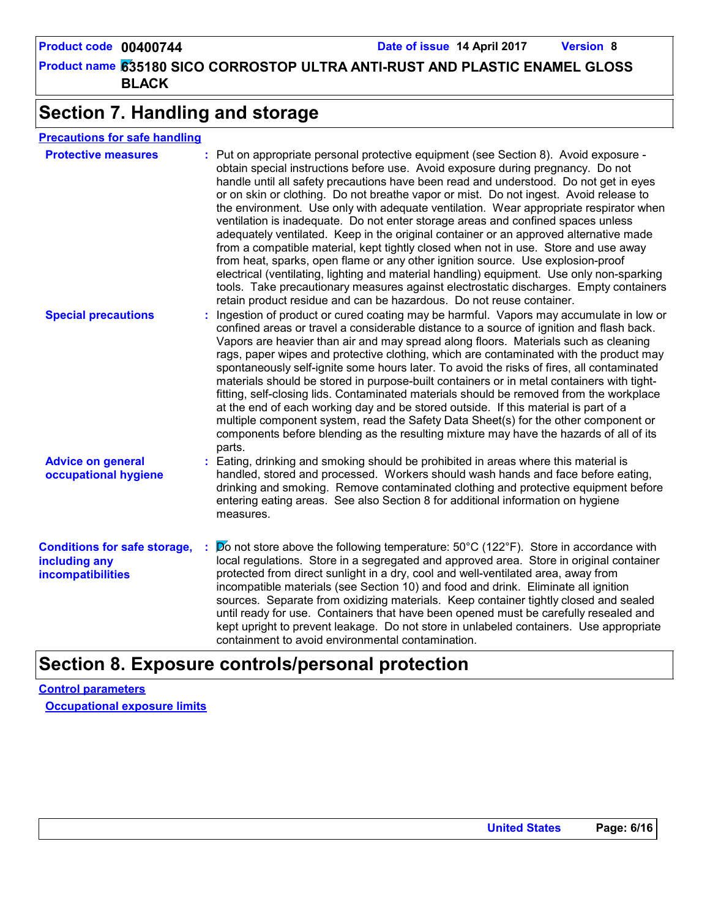**635180 SICO CORROSTOP ULTRA ANTI-RUST AND PLASTIC ENAMEL GLOSS Product name BLACK**

### **Section 7. Handling and storage**

#### **Precautions for safe handling**

| <b>Protective measures</b>                                                       | : Put on appropriate personal protective equipment (see Section 8). Avoid exposure -<br>obtain special instructions before use. Avoid exposure during pregnancy. Do not<br>handle until all safety precautions have been read and understood. Do not get in eyes<br>or on skin or clothing. Do not breathe vapor or mist. Do not ingest. Avoid release to<br>the environment. Use only with adequate ventilation. Wear appropriate respirator when<br>ventilation is inadequate. Do not enter storage areas and confined spaces unless<br>adequately ventilated. Keep in the original container or an approved alternative made<br>from a compatible material, kept tightly closed when not in use. Store and use away<br>from heat, sparks, open flame or any other ignition source. Use explosion-proof<br>electrical (ventilating, lighting and material handling) equipment. Use only non-sparking<br>tools. Take precautionary measures against electrostatic discharges. Empty containers<br>retain product residue and can be hazardous. Do not reuse container. |
|----------------------------------------------------------------------------------|-------------------------------------------------------------------------------------------------------------------------------------------------------------------------------------------------------------------------------------------------------------------------------------------------------------------------------------------------------------------------------------------------------------------------------------------------------------------------------------------------------------------------------------------------------------------------------------------------------------------------------------------------------------------------------------------------------------------------------------------------------------------------------------------------------------------------------------------------------------------------------------------------------------------------------------------------------------------------------------------------------------------------------------------------------------------------|
| <b>Special precautions</b>                                                       | : Ingestion of product or cured coating may be harmful. Vapors may accumulate in low or<br>confined areas or travel a considerable distance to a source of ignition and flash back.<br>Vapors are heavier than air and may spread along floors. Materials such as cleaning<br>rags, paper wipes and protective clothing, which are contaminated with the product may<br>spontaneously self-ignite some hours later. To avoid the risks of fires, all contaminated<br>materials should be stored in purpose-built containers or in metal containers with tight-<br>fitting, self-closing lids. Contaminated materials should be removed from the workplace<br>at the end of each working day and be stored outside. If this material is part of a<br>multiple component system, read the Safety Data Sheet(s) for the other component or<br>components before blending as the resulting mixture may have the hazards of all of its<br>parts.                                                                                                                             |
| <b>Advice on general</b><br>occupational hygiene                                 | : Eating, drinking and smoking should be prohibited in areas where this material is<br>handled, stored and processed. Workers should wash hands and face before eating,<br>drinking and smoking. Remove contaminated clothing and protective equipment before<br>entering eating areas. See also Section 8 for additional information on hygiene<br>measures.                                                                                                                                                                                                                                                                                                                                                                                                                                                                                                                                                                                                                                                                                                           |
| <b>Conditions for safe storage,</b><br>including any<br><b>incompatibilities</b> | $\cancel{p}$ o not store above the following temperature: 50°C (122°F). Store in accordance with<br>local regulations. Store in a segregated and approved area. Store in original container<br>protected from direct sunlight in a dry, cool and well-ventilated area, away from<br>incompatible materials (see Section 10) and food and drink. Eliminate all ignition<br>sources. Separate from oxidizing materials. Keep container tightly closed and sealed<br>until ready for use. Containers that have been opened must be carefully resealed and<br>kept upright to prevent leakage. Do not store in unlabeled containers. Use appropriate<br>containment to avoid environmental contamination.                                                                                                                                                                                                                                                                                                                                                                   |

### **Section 8. Exposure controls/personal protection**

**Control parameters Occupational exposure limits**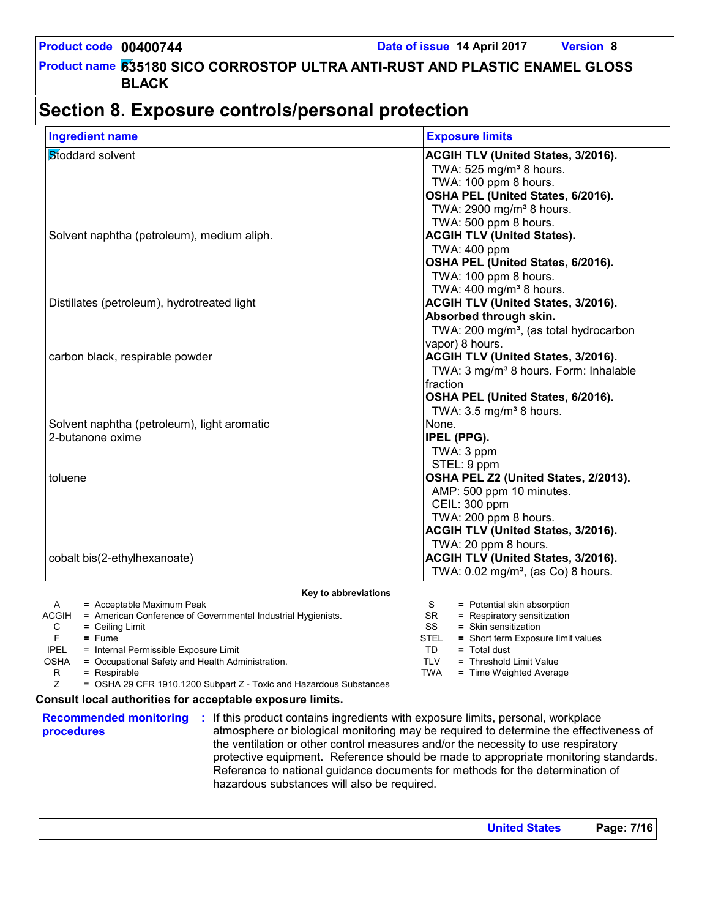### **Section 8. Exposure controls/personal protection**

| <b>Ingredient name</b>                                                  | <b>Exposure limits</b>                                                    |
|-------------------------------------------------------------------------|---------------------------------------------------------------------------|
| Stoddard solvent                                                        | ACGIH TLV (United States, 3/2016).                                        |
|                                                                         | TWA: 525 mg/m <sup>3</sup> 8 hours.                                       |
|                                                                         | TWA: 100 ppm 8 hours.                                                     |
|                                                                         | OSHA PEL (United States, 6/2016).                                         |
|                                                                         | TWA: 2900 mg/m <sup>3</sup> 8 hours.                                      |
|                                                                         | TWA: 500 ppm 8 hours.                                                     |
| Solvent naphtha (petroleum), medium aliph.                              | <b>ACGIH TLV (United States).</b>                                         |
|                                                                         | TWA: 400 ppm                                                              |
|                                                                         | OSHA PEL (United States, 6/2016).                                         |
|                                                                         | TWA: 100 ppm 8 hours.                                                     |
|                                                                         | TWA: 400 mg/m <sup>3</sup> 8 hours.                                       |
| Distillates (petroleum), hydrotreated light                             | ACGIH TLV (United States, 3/2016).                                        |
|                                                                         | Absorbed through skin.                                                    |
|                                                                         | TWA: 200 mg/m <sup>3</sup> , (as total hydrocarbon                        |
|                                                                         | vapor) 8 hours.                                                           |
| carbon black, respirable powder                                         | ACGIH TLV (United States, 3/2016).                                        |
|                                                                         | TWA: 3 mg/m <sup>3</sup> 8 hours. Form: Inhalable                         |
|                                                                         | fraction                                                                  |
|                                                                         | OSHA PEL (United States, 6/2016).                                         |
|                                                                         | TWA: 3.5 mg/m <sup>3</sup> 8 hours.                                       |
| Solvent naphtha (petroleum), light aromatic                             | None.                                                                     |
| 2-butanone oxime                                                        | IPEL (PPG).                                                               |
|                                                                         | TWA: 3 ppm                                                                |
|                                                                         | STEL: 9 ppm                                                               |
| toluene                                                                 | OSHA PEL Z2 (United States, 2/2013).                                      |
|                                                                         | AMP: 500 ppm 10 minutes.                                                  |
|                                                                         | CEIL: 300 ppm                                                             |
|                                                                         | TWA: 200 ppm 8 hours.                                                     |
|                                                                         | ACGIH TLV (United States, 3/2016).                                        |
|                                                                         | TWA: 20 ppm 8 hours.                                                      |
| cobalt bis(2-ethylhexanoate)                                            | ACGIH TLV (United States, 3/2016).                                        |
|                                                                         | TWA: 0.02 mg/m <sup>3</sup> , (as Co) 8 hours.                            |
| Key to abbreviations                                                    |                                                                           |
| = Acceptable Maximum Peak<br>A                                          | S<br>= Potential skin absorption                                          |
| ACGIH<br>= American Conference of Governmental Industrial Hygienists.   | = Respiratory sensitization<br>SR                                         |
| $=$ Ceiling Limit<br>С                                                  | SS<br>= Skin sensitization                                                |
| F.<br>$=$ Fume<br><b>IPEL</b><br>= Internal Permissible Exposure Limit  | <b>STEL</b><br>= Short term Exposure limit values<br>TD<br>$=$ Total dust |
| <b>OSHA</b><br>= Occupational Safety and Health Administration.         | <b>TLV</b><br>= Threshold Limit Value                                     |
| R<br>= Respirable                                                       | <b>TWA</b><br>= Time Weighted Average                                     |
| Z<br>= OSHA 29 CFR 1910.1200 Subpart Z - Toxic and Hazardous Substances |                                                                           |

#### **Consult local authorities for acceptable exposure limits.**

**procedures**

**Recommended monitoring :** If this product contains ingredients with exposure limits, personal, workplace atmosphere or biological monitoring may be required to determine the effectiveness of the ventilation or other control measures and/or the necessity to use respiratory protective equipment. Reference should be made to appropriate monitoring standards. Reference to national guidance documents for methods for the determination of hazardous substances will also be required.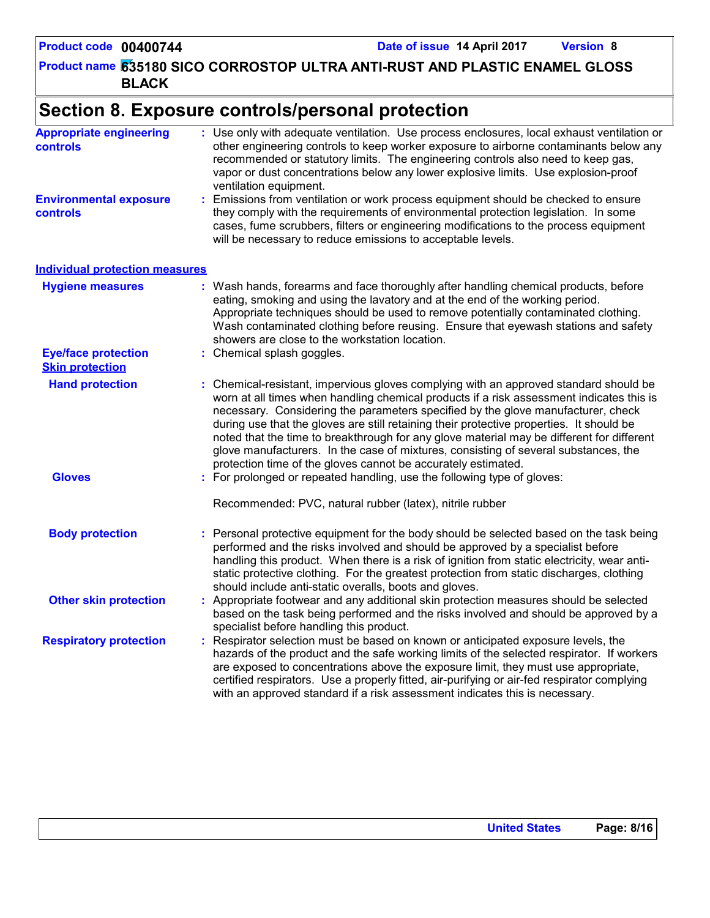**635180 SICO CORROSTOP ULTRA ANTI-RUST AND PLASTIC ENAMEL GLOSS Product name BLACK**

### **Section 8. Exposure controls/personal protection**

| <b>Appropriate engineering</b><br><b>controls</b>    | : Use only with adequate ventilation. Use process enclosures, local exhaust ventilation or<br>other engineering controls to keep worker exposure to airborne contaminants below any<br>recommended or statutory limits. The engineering controls also need to keep gas,<br>vapor or dust concentrations below any lower explosive limits. Use explosion-proof<br>ventilation equipment.                                                                                                                                                                                                                                |
|------------------------------------------------------|------------------------------------------------------------------------------------------------------------------------------------------------------------------------------------------------------------------------------------------------------------------------------------------------------------------------------------------------------------------------------------------------------------------------------------------------------------------------------------------------------------------------------------------------------------------------------------------------------------------------|
| <b>Environmental exposure</b><br><b>controls</b>     | : Emissions from ventilation or work process equipment should be checked to ensure<br>they comply with the requirements of environmental protection legislation. In some<br>cases, fume scrubbers, filters or engineering modifications to the process equipment<br>will be necessary to reduce emissions to acceptable levels.                                                                                                                                                                                                                                                                                        |
| <b>Individual protection measures</b>                |                                                                                                                                                                                                                                                                                                                                                                                                                                                                                                                                                                                                                        |
| <b>Hygiene measures</b>                              | : Wash hands, forearms and face thoroughly after handling chemical products, before<br>eating, smoking and using the lavatory and at the end of the working period.<br>Appropriate techniques should be used to remove potentially contaminated clothing.<br>Wash contaminated clothing before reusing. Ensure that eyewash stations and safety<br>showers are close to the workstation location.                                                                                                                                                                                                                      |
| <b>Eye/face protection</b><br><b>Skin protection</b> | : Chemical splash goggles.                                                                                                                                                                                                                                                                                                                                                                                                                                                                                                                                                                                             |
| <b>Hand protection</b>                               | : Chemical-resistant, impervious gloves complying with an approved standard should be<br>worn at all times when handling chemical products if a risk assessment indicates this is<br>necessary. Considering the parameters specified by the glove manufacturer, check<br>during use that the gloves are still retaining their protective properties. It should be<br>noted that the time to breakthrough for any glove material may be different for different<br>glove manufacturers. In the case of mixtures, consisting of several substances, the<br>protection time of the gloves cannot be accurately estimated. |
| <b>Gloves</b>                                        | : For prolonged or repeated handling, use the following type of gloves:<br>Recommended: PVC, natural rubber (latex), nitrile rubber                                                                                                                                                                                                                                                                                                                                                                                                                                                                                    |
| <b>Body protection</b>                               | Personal protective equipment for the body should be selected based on the task being<br>performed and the risks involved and should be approved by a specialist before<br>handling this product. When there is a risk of ignition from static electricity, wear anti-<br>static protective clothing. For the greatest protection from static discharges, clothing<br>should include anti-static overalls, boots and gloves.                                                                                                                                                                                           |
| <b>Other skin protection</b>                         | : Appropriate footwear and any additional skin protection measures should be selected<br>based on the task being performed and the risks involved and should be approved by a<br>specialist before handling this product.                                                                                                                                                                                                                                                                                                                                                                                              |
| <b>Respiratory protection</b>                        | : Respirator selection must be based on known or anticipated exposure levels, the<br>hazards of the product and the safe working limits of the selected respirator. If workers<br>are exposed to concentrations above the exposure limit, they must use appropriate,<br>certified respirators. Use a properly fitted, air-purifying or air-fed respirator complying<br>with an approved standard if a risk assessment indicates this is necessary.                                                                                                                                                                     |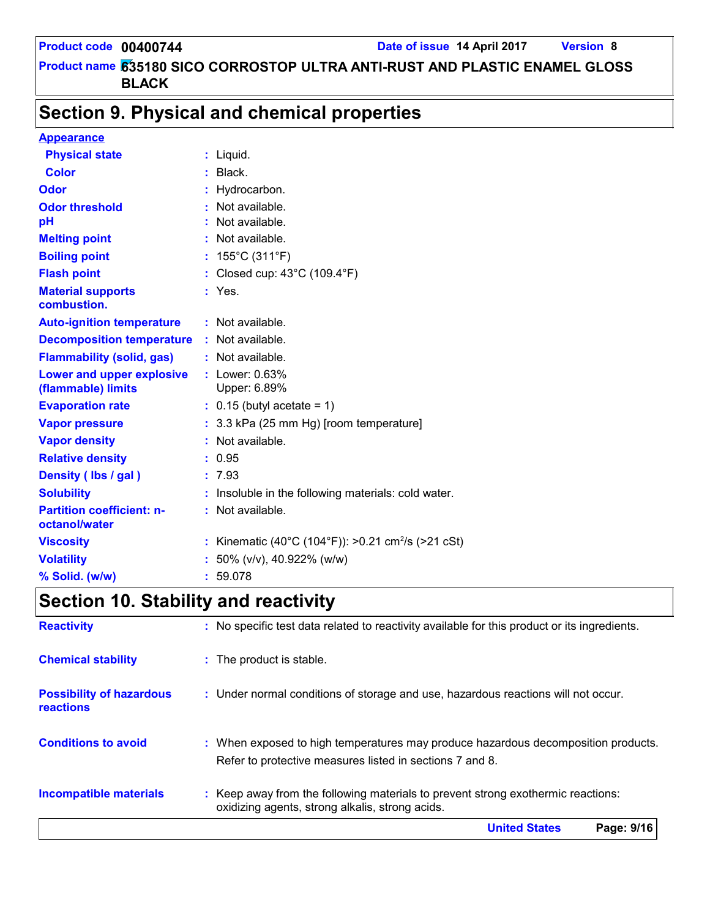### **Section 9. Physical and chemical properties**

| <b>Appearance</b>                                 |                                                              |
|---------------------------------------------------|--------------------------------------------------------------|
| <b>Physical state</b>                             | $:$ Liquid.                                                  |
| <b>Color</b>                                      | $:$ Black.                                                   |
| Odor                                              | Hydrocarbon.                                                 |
| <b>Odor threshold</b>                             | Not available.                                               |
| pH                                                | Not available.                                               |
| <b>Melting point</b>                              | : Not available.                                             |
| <b>Boiling point</b>                              | : $155^{\circ}$ C (311 $^{\circ}$ F)                         |
| <b>Flash point</b>                                | : Closed cup: $43^{\circ}$ C (109.4 $^{\circ}$ F)            |
| <b>Material supports</b><br>combustion.           | $:$ Yes.                                                     |
| <b>Auto-ignition temperature</b>                  | $:$ Not available.                                           |
| <b>Decomposition temperature</b>                  | : Not available.                                             |
| <b>Flammability (solid, gas)</b>                  | : Not available.                                             |
| Lower and upper explosive<br>(flammable) limits   | : Lower: 0.63%<br>Upper: 6.89%                               |
| <b>Evaporation rate</b>                           | $\therefore$ 0.15 (butyl acetate = 1)                        |
| <b>Vapor pressure</b>                             | : 3.3 kPa (25 mm Hg) [room temperature]                      |
| <b>Vapor density</b>                              | : Not available.                                             |
| <b>Relative density</b>                           | : 0.95                                                       |
| Density (lbs / gal)                               | : 7.93                                                       |
| <b>Solubility</b>                                 | Insoluble in the following materials: cold water.            |
| <b>Partition coefficient: n-</b><br>octanol/water | : Not available.                                             |
| <b>Viscosity</b>                                  | Kinematic (40°C (104°F)): >0.21 cm <sup>2</sup> /s (>21 cSt) |
| <b>Volatility</b>                                 | 50% (v/v), 40.922% (w/w)                                     |
| % Solid. (w/w)                                    | 59.078                                                       |

## **Section 10. Stability and reactivity**

|                                              | <b>United States</b><br>Page: 9/16                                                                                                            |
|----------------------------------------------|-----------------------------------------------------------------------------------------------------------------------------------------------|
| <b>Incompatible materials</b>                | : Keep away from the following materials to prevent strong exothermic reactions:<br>oxidizing agents, strong alkalis, strong acids.           |
| <b>Conditions to avoid</b>                   | : When exposed to high temperatures may produce hazardous decomposition products.<br>Refer to protective measures listed in sections 7 and 8. |
| <b>Possibility of hazardous</b><br>reactions | : Under normal conditions of storage and use, hazardous reactions will not occur.                                                             |
| <b>Chemical stability</b>                    | : The product is stable.                                                                                                                      |
| <b>Reactivity</b>                            | : No specific test data related to reactivity available for this product or its ingredients.                                                  |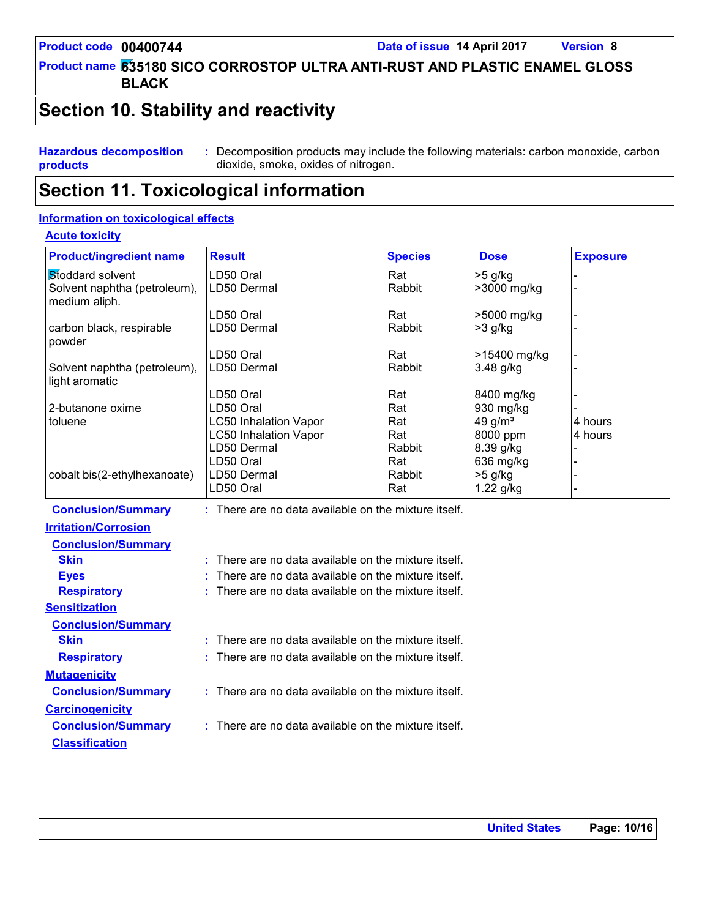**635180 SICO CORROSTOP ULTRA ANTI-RUST AND PLASTIC ENAMEL GLOSS Product name BLACK**

### **Section 10. Stability and reactivity**

**Hazardous decomposition products**

**:** Decomposition products may include the following materials: carbon monoxide, carbon dioxide, smoke, oxides of nitrogen.

### **Section 11. Toxicological information**

#### **Information on toxicological effects**

#### **Acute toxicity**

| <b>Product/ingredient name</b>                 | <b>Result</b>                                        | <b>Species</b> | <b>Dose</b>            | <b>Exposure</b> |
|------------------------------------------------|------------------------------------------------------|----------------|------------------------|-----------------|
| Stoddard solvent                               | LD50 Oral                                            | Rat            | $>5$ g/kg              |                 |
| Solvent naphtha (petroleum),<br>medium aliph.  | LD50 Dermal                                          | Rabbit         | >3000 mg/kg            |                 |
|                                                | LD50 Oral                                            | Rat            | >5000 mg/kg            |                 |
| carbon black, respirable<br>powder             | LD50 Dermal                                          | Rabbit         | $>3$ g/kg              |                 |
|                                                | LD50 Oral                                            | Rat            | >15400 mg/kg           |                 |
| Solvent naphtha (petroleum),<br>light aromatic | LD50 Dermal                                          | Rabbit         | 3.48 g/kg              |                 |
|                                                | LD50 Oral                                            | Rat            | 8400 mg/kg             |                 |
| 2-butanone oxime                               | LD50 Oral                                            | Rat            | 930 mg/kg              |                 |
| toluene                                        | <b>LC50 Inhalation Vapor</b>                         | Rat            | 49 g/m <sup>3</sup>    | 4 hours         |
|                                                | <b>LC50 Inhalation Vapor</b>                         | Rat            | 8000 ppm               | 4 hours         |
|                                                | LD50 Dermal                                          | Rabbit         | 8.39 g/kg              |                 |
| cobalt bis(2-ethylhexanoate)                   | LD50 Oral<br>LD50 Dermal                             | Rat<br>Rabbit  | 636 mg/kg<br>$>5$ g/kg |                 |
|                                                | LD50 Oral                                            | Rat            | 1.22 g/kg              |                 |
| <b>Conclusion/Summary</b>                      | : There are no data available on the mixture itself. |                |                        |                 |
| <b>Irritation/Corrosion</b>                    |                                                      |                |                        |                 |
| <b>Conclusion/Summary</b>                      |                                                      |                |                        |                 |
| <b>Skin</b>                                    | : There are no data available on the mixture itself. |                |                        |                 |
| <b>Eyes</b>                                    | There are no data available on the mixture itself.   |                |                        |                 |
| <b>Respiratory</b>                             | There are no data available on the mixture itself.   |                |                        |                 |
| <b>Sensitization</b>                           |                                                      |                |                        |                 |
| <b>Conclusion/Summary</b>                      |                                                      |                |                        |                 |
| <b>Skin</b>                                    | : There are no data available on the mixture itself. |                |                        |                 |
| <b>Respiratory</b>                             | There are no data available on the mixture itself.   |                |                        |                 |
| <b>Mutagenicity</b>                            |                                                      |                |                        |                 |
| <b>Conclusion/Summary</b>                      | : There are no data available on the mixture itself. |                |                        |                 |
| <b>Carcinogenicity</b>                         |                                                      |                |                        |                 |
| <b>Conclusion/Summary</b>                      | : There are no data available on the mixture itself. |                |                        |                 |
| <b>Classification</b>                          |                                                      |                |                        |                 |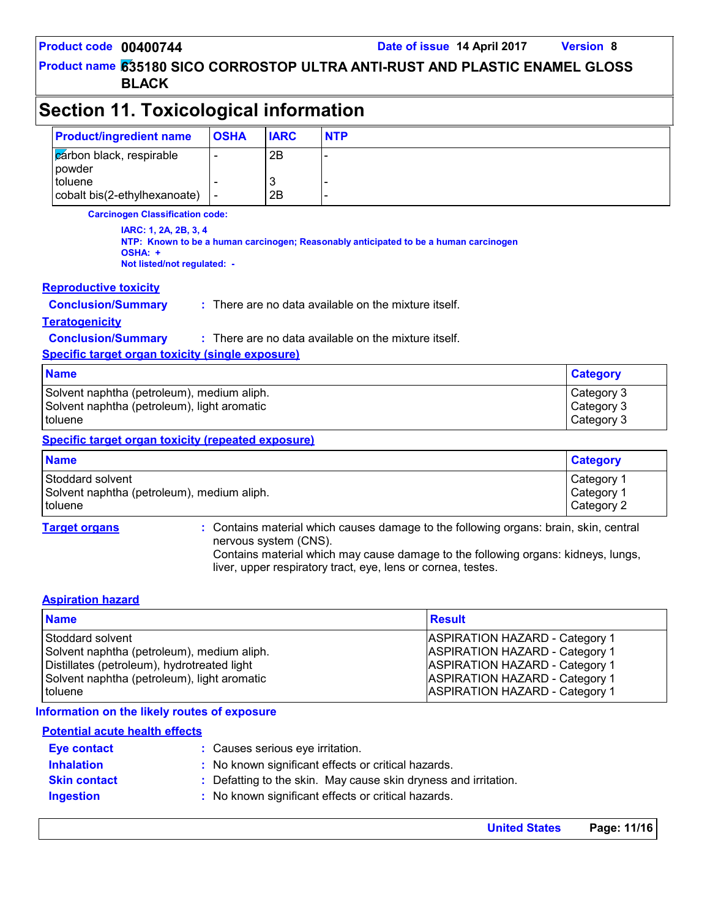**635180 SICO CORROSTOP ULTRA ANTI-RUST AND PLASTIC ENAMEL GLOSS Product name BLACK**

| Section 11. Toxicological information   |             |             |            |  |  |
|-----------------------------------------|-------------|-------------|------------|--|--|
| <b>Product/ingredient name</b>          | <b>OSHA</b> | <b>IARC</b> | <b>NTP</b> |  |  |
| cárbon black, respirable<br>powder      |             | 2B          |            |  |  |
| toluene<br>cobalt bis(2-ethylhexanoate) |             | C,<br>2B    |            |  |  |

**Carcinogen Classification code:**

**IARC: 1, 2A, 2B, 3, 4 NTP: Known to be a human carcinogen; Reasonably anticipated to be a human carcinogen OSHA: + Not listed/not regulated: -**

#### **Reproductive toxicity**

**Conclusion/Summary :** There are no data available on the mixture itself.

#### **Teratogenicity**

**Conclusion/Summary :** : There are no data available on the mixture itself.

**Specific target organ toxicity (single exposure)**

| <b>Name</b>                                 | <b>Category</b> |
|---------------------------------------------|-----------------|
| Solvent naphtha (petroleum), medium aliph.  | Category 3      |
| Solvent naphtha (petroleum), light aromatic | Category 3      |
| I toluene                                   | Category 3      |

#### **Specific target organ toxicity (repeated exposure)**

| <b>Name</b>                                | <b>Category</b>        |
|--------------------------------------------|------------------------|
| Stoddard solvent                           | ⊩Category <sup>1</sup> |
| Solvent naphtha (petroleum), medium aliph. | Category <sup>1</sup>  |
| toluene                                    | Category 2             |

**Target organs :** Contains material which causes damage to the following organs: brain, skin, central nervous system (CNS).

> Contains material which may cause damage to the following organs: kidneys, lungs, liver, upper respiratory tract, eye, lens or cornea, testes.

#### **Aspiration hazard**

| <b>Name</b>                                 | <b>Result</b>                         |
|---------------------------------------------|---------------------------------------|
| Stoddard solvent                            | <b>ASPIRATION HAZARD - Category 1</b> |
| Solvent naphtha (petroleum), medium aliph.  | <b>ASPIRATION HAZARD - Category 1</b> |
| Distillates (petroleum), hydrotreated light | <b>ASPIRATION HAZARD - Category 1</b> |
| Solvent naphtha (petroleum), light aromatic | <b>ASPIRATION HAZARD - Category 1</b> |
| toluene                                     | <b>ASPIRATION HAZARD - Category 1</b> |

#### **Information on the likely routes of exposure**

#### **Potential acute health effects**

| <b>Eve contact</b>  | : Causes serious eye irritation.                                |  |  |
|---------------------|-----------------------------------------------------------------|--|--|
| <b>Inhalation</b>   | : No known significant effects or critical hazards.             |  |  |
| <b>Skin contact</b> | : Defatting to the skin. May cause skin dryness and irritation. |  |  |
| <b>Ingestion</b>    | : No known significant effects or critical hazards.             |  |  |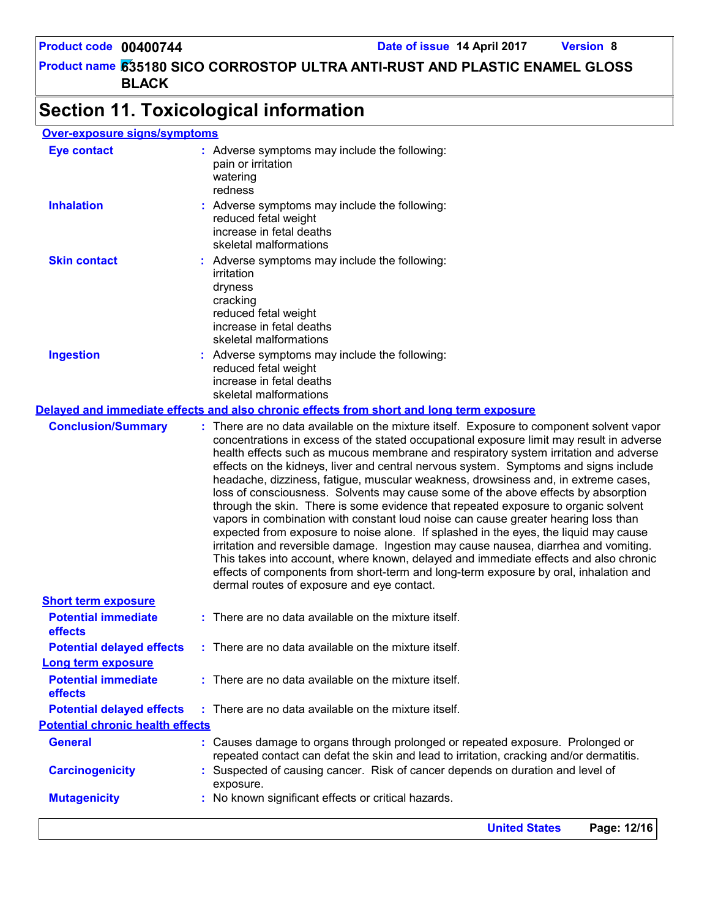### **Section 11. Toxicological information**

### **Over-exposure signs/symptoms**

|                                         | Page: 12/16<br><b>United States</b>                                                                                                                                                                                                                                                                                                                                                                                                                                                                                                                                                                                             |
|-----------------------------------------|---------------------------------------------------------------------------------------------------------------------------------------------------------------------------------------------------------------------------------------------------------------------------------------------------------------------------------------------------------------------------------------------------------------------------------------------------------------------------------------------------------------------------------------------------------------------------------------------------------------------------------|
| <b>Mutagenicity</b>                     | : No known significant effects or critical hazards.                                                                                                                                                                                                                                                                                                                                                                                                                                                                                                                                                                             |
| <b>Carcinogenicity</b>                  | : Suspected of causing cancer. Risk of cancer depends on duration and level of<br>exposure.                                                                                                                                                                                                                                                                                                                                                                                                                                                                                                                                     |
| <b>General</b>                          | : Causes damage to organs through prolonged or repeated exposure. Prolonged or<br>repeated contact can defat the skin and lead to irritation, cracking and/or dermatitis.                                                                                                                                                                                                                                                                                                                                                                                                                                                       |
| <b>Potential chronic health effects</b> |                                                                                                                                                                                                                                                                                                                                                                                                                                                                                                                                                                                                                                 |
| <b>Potential delayed effects</b>        | : There are no data available on the mixture itself.                                                                                                                                                                                                                                                                                                                                                                                                                                                                                                                                                                            |
| <b>Potential immediate</b><br>effects   | : There are no data available on the mixture itself.                                                                                                                                                                                                                                                                                                                                                                                                                                                                                                                                                                            |
| <b>Long term exposure</b>               |                                                                                                                                                                                                                                                                                                                                                                                                                                                                                                                                                                                                                                 |
| <b>Potential delayed effects</b>        | : There are no data available on the mixture itself.                                                                                                                                                                                                                                                                                                                                                                                                                                                                                                                                                                            |
| <b>Potential immediate</b><br>effects   | : There are no data available on the mixture itself.                                                                                                                                                                                                                                                                                                                                                                                                                                                                                                                                                                            |
| <b>Short term exposure</b>              | expected from exposure to noise alone. If splashed in the eyes, the liquid may cause<br>irritation and reversible damage. Ingestion may cause nausea, diarrhea and vomiting.<br>This takes into account, where known, delayed and immediate effects and also chronic<br>effects of components from short-term and long-term exposure by oral, inhalation and<br>dermal routes of exposure and eye contact.                                                                                                                                                                                                                      |
|                                         | concentrations in excess of the stated occupational exposure limit may result in adverse<br>health effects such as mucous membrane and respiratory system irritation and adverse<br>effects on the kidneys, liver and central nervous system. Symptoms and signs include<br>headache, dizziness, fatigue, muscular weakness, drowsiness and, in extreme cases,<br>loss of consciousness. Solvents may cause some of the above effects by absorption<br>through the skin. There is some evidence that repeated exposure to organic solvent<br>vapors in combination with constant loud noise can cause greater hearing loss than |
| <b>Conclusion/Summary</b>               | : There are no data available on the mixture itself. Exposure to component solvent vapor                                                                                                                                                                                                                                                                                                                                                                                                                                                                                                                                        |
|                                         | Delayed and immediate effects and also chronic effects from short and long term exposure                                                                                                                                                                                                                                                                                                                                                                                                                                                                                                                                        |
| <b>Ingestion</b>                        | : Adverse symptoms may include the following:<br>reduced fetal weight<br>increase in fetal deaths<br>skeletal malformations                                                                                                                                                                                                                                                                                                                                                                                                                                                                                                     |
|                                         | dryness<br>cracking<br>reduced fetal weight<br>increase in fetal deaths<br>skeletal malformations                                                                                                                                                                                                                                                                                                                                                                                                                                                                                                                               |
| <b>Skin contact</b>                     | : Adverse symptoms may include the following:<br>irritation                                                                                                                                                                                                                                                                                                                                                                                                                                                                                                                                                                     |
| <b>Inhalation</b>                       | : Adverse symptoms may include the following:<br>reduced fetal weight<br>increase in fetal deaths<br>skeletal malformations                                                                                                                                                                                                                                                                                                                                                                                                                                                                                                     |
| <b>Eye contact</b>                      | : Adverse symptoms may include the following:<br>pain or irritation<br>watering<br>redness                                                                                                                                                                                                                                                                                                                                                                                                                                                                                                                                      |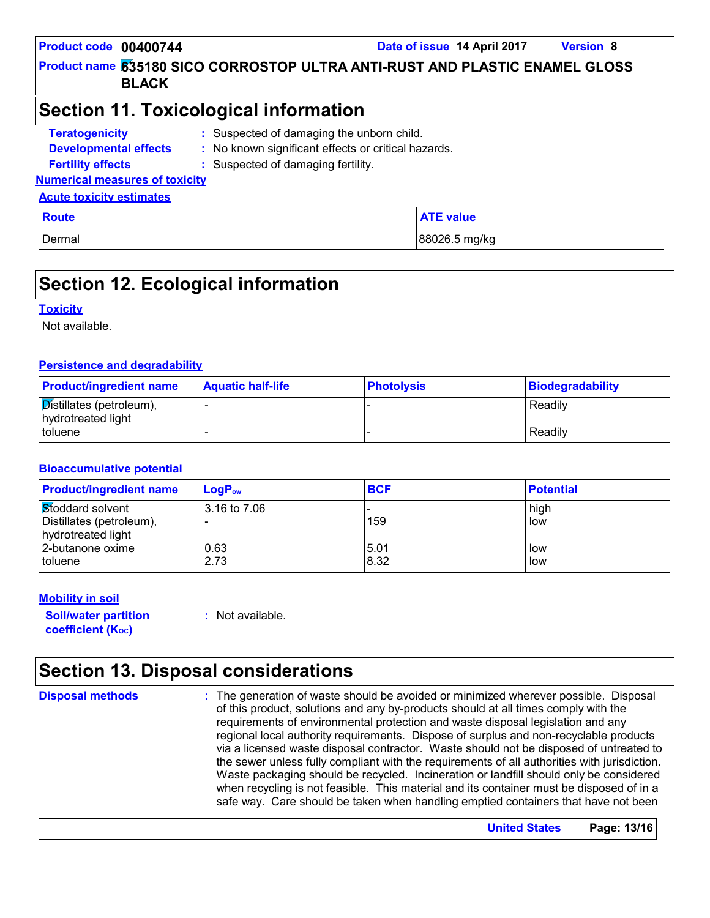**635180 SICO CORROSTOP ULTRA ANTI-RUST AND PLASTIC ENAMEL GLOSS Product name BLACK**

### **Section 11. Toxicological information**

**Teratogenicity : Developmental effects : Fertility effects : Numerical measures of toxicity Acute toxicity estimates** Suspected of damaging the unborn child. No known significant effects or critical hazards. : Suspected of damaging fertility.

| <b>Route</b> | <b>ATE value</b> |
|--------------|------------------|
| Dermal       | 88026.5 mg/kg    |

### **Section 12. Ecological information**

#### **Toxicity**

Not available.

#### **Persistence and degradability**

| <b>Product/ingredient name</b>                 | <b>Aquatic half-life</b> | <b>Photolysis</b> | Biodegradability |
|------------------------------------------------|--------------------------|-------------------|------------------|
| Distillates (petroleum),<br>hydrotreated light |                          |                   | Readily          |
| I toluene                                      |                          |                   | Readily          |

#### **Bioaccumulative potential**

| <b>Product/ingredient name</b> | $LogP_{ow}$  | <b>BCF</b> | <b>Potential</b> |  |
|--------------------------------|--------------|------------|------------------|--|
| Stoddard solvent               | 3.16 to 7.06 |            | high             |  |
| Distillates (petroleum),       | -            | 159        | low              |  |
| hydrotreated light             |              |            |                  |  |
| 2-butanone oxime               | 0.63         | 5.01       | low              |  |
| I toluene                      | 2.73         | 8.32       | low              |  |

#### **Mobility in soil**

**Soil/water partition coefficient (KOC)**

**:** Not available.

### **Section 13. Disposal considerations**

**Disposal methods :**

The generation of waste should be avoided or minimized wherever possible. Disposal of this product, solutions and any by-products should at all times comply with the requirements of environmental protection and waste disposal legislation and any regional local authority requirements. Dispose of surplus and non-recyclable products via a licensed waste disposal contractor. Waste should not be disposed of untreated to the sewer unless fully compliant with the requirements of all authorities with jurisdiction. Waste packaging should be recycled. Incineration or landfill should only be considered when recycling is not feasible. This material and its container must be disposed of in a safe way. Care should be taken when handling emptied containers that have not been

**United States Page: 13/16**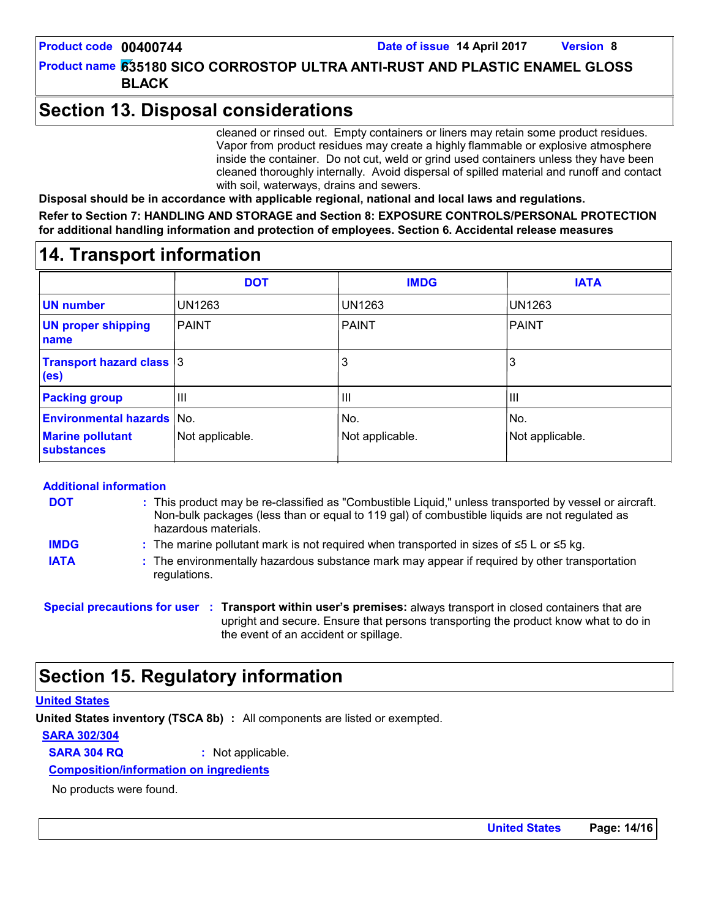### **Section 13. Disposal considerations**

cleaned or rinsed out. Empty containers or liners may retain some product residues. Vapor from product residues may create a highly flammable or explosive atmosphere inside the container. Do not cut, weld or grind used containers unless they have been cleaned thoroughly internally. Avoid dispersal of spilled material and runoff and contact with soil, waterways, drains and sewers.

**Disposal should be in accordance with applicable regional, national and local laws and regulations.**

**Refer to Section 7: HANDLING AND STORAGE and Section 8: EXPOSURE CONTROLS/PERSONAL PROTECTION for additional handling information and protection of employees. Section 6. Accidental release measures**

### **14. Transport information**

|                                                                                  | <b>DOT</b>      | <b>IMDG</b>            | <b>IATA</b>            |
|----------------------------------------------------------------------------------|-----------------|------------------------|------------------------|
| <b>UN number</b>                                                                 | <b>UN1263</b>   | <b>UN1263</b>          | UN1263                 |
| <b>UN proper shipping</b><br>name                                                | <b>PAINT</b>    | <b>PAINT</b>           | <b>PAINT</b>           |
| <b>Transport hazard class 3</b><br>(e <sub>s</sub> )                             |                 | 3                      | 3                      |
| <b>Packing group</b>                                                             | $\mathbf{III}$  | $\mathbf{III}$         | $\mathbf{III}$         |
| <b>Environmental hazards No.</b><br><b>Marine pollutant</b><br><b>substances</b> | Not applicable. | No.<br>Not applicable. | No.<br>Not applicable. |

#### **Additional information**

| DOT         | : This product may be re-classified as "Combustible Liquid," unless transported by vessel or aircraft.<br>Non-bulk packages (less than or equal to 119 gal) of combustible liquids are not regulated as<br>hazardous materials. |
|-------------|---------------------------------------------------------------------------------------------------------------------------------------------------------------------------------------------------------------------------------|
| <b>IMDG</b> | : The marine pollutant mark is not required when transported in sizes of $\leq 5$ L or $\leq 5$ kg.                                                                                                                             |

**IATA :** The environmentally hazardous substance mark may appear if required by other transportation regulations.

**Special precautions for user Transport within user's premises:** always transport in closed containers that are **:** upright and secure. Ensure that persons transporting the product know what to do in the event of an accident or spillage.

### **Section 15. Regulatory information**

#### **United States**

**United States inventory (TSCA 8b) :** All components are listed or exempted.

#### **SARA 302/304**

**SARA 304 RQ :** Not applicable.

**Composition/information on ingredients**

No products were found.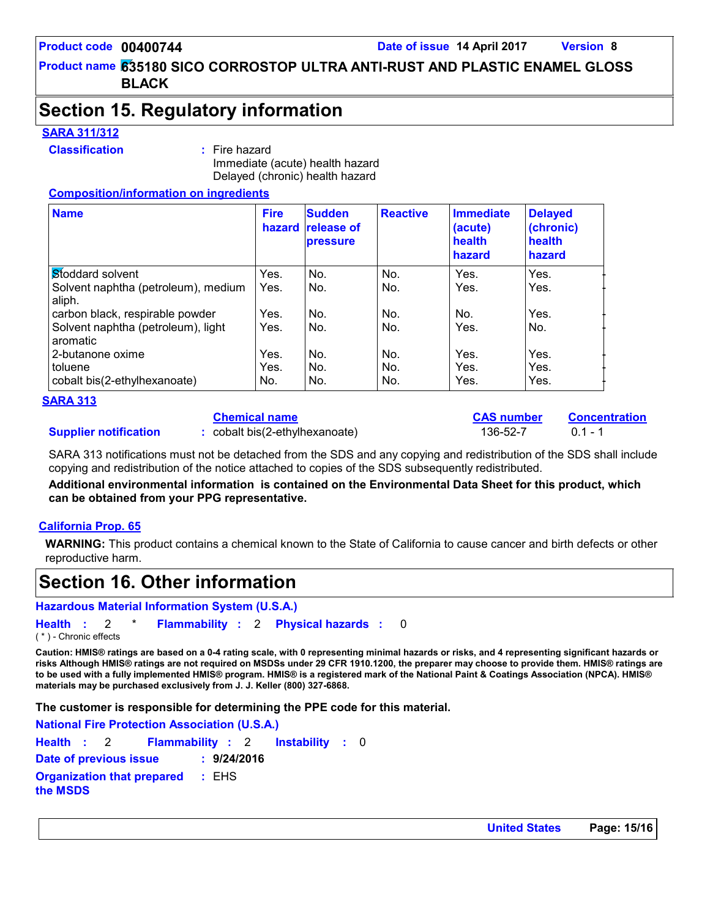### **Section 15. Regulatory information**

#### **SARA 311/312**

#### **Classification :** Fire hazard

Immediate (acute) health hazard Delayed (chronic) health hazard

#### **Composition/information on ingredients**

| <b>Name</b>                                    | <b>Fire</b><br>hazard | <b>Sudden</b><br><b>release of</b><br><b>pressure</b> | <b>Reactive</b> | <b>Immediate</b><br>(acute)<br>health<br>hazard | <b>Delayed</b><br>(chronic)<br>health<br>hazard |
|------------------------------------------------|-----------------------|-------------------------------------------------------|-----------------|-------------------------------------------------|-------------------------------------------------|
| Stoddard solvent                               | Yes.                  | No.                                                   | No.             | Yes.                                            | Yes.                                            |
| Solvent naphtha (petroleum), medium<br>aliph.  | Yes.                  | No.                                                   | No.             | Yes.                                            | Yes.                                            |
| carbon black, respirable powder                | Yes.                  | No.                                                   | No.             | No.                                             | Yes.                                            |
| Solvent naphtha (petroleum), light<br>aromatic | Yes.                  | No.                                                   | No.             | Yes.                                            | No.                                             |
| 2-butanone oxime                               | Yes.                  | No.                                                   | No.             | Yes.                                            | Yes.                                            |
| toluene                                        | Yes.                  | No.                                                   | No.             | Yes.                                            | Yes.                                            |
| cobalt bis(2-ethylhexanoate)                   | No.                   | No.                                                   | No.             | Yes.                                            | Yes.                                            |

#### **SARA 313**

#### **Chemical name**

**:** cobalt bis(2-ethylhexanoate) 136-52-7 0.1 - 1

**CAS number Concentration**

SARA 313 notifications must not be detached from the SDS and any copying and redistribution of the SDS shall include copying and redistribution of the notice attached to copies of the SDS subsequently redistributed.

**Additional environmental information is contained on the Environmental Data Sheet for this product, which can be obtained from your PPG representative.**

#### **California Prop. 65**

**Supplier notification**

**WARNING:** This product contains a chemical known to the State of California to cause cancer and birth defects or other reproductive harm.

### **Section 16. Other information**

**Hazardous Material Information System (U.S.A.)**

**Health** : 2 \* **Flammability** : 2 **Physical hazards** : 0 0 ( \* ) - Chronic effects

**Caution: HMIS® ratings are based on a 0-4 rating scale, with 0 representing minimal hazards or risks, and 4 representing significant hazards or risks Although HMIS® ratings are not required on MSDSs under 29 CFR 1910.1200, the preparer may choose to provide them. HMIS® ratings are to be used with a fully implemented HMIS® program. HMIS® is a registered mark of the National Paint & Coatings Association (NPCA). HMIS® materials may be purchased exclusively from J. J. Keller (800) 327-6868.**

**The customer is responsible for determining the PPE code for this material.**

| <b>National Fire Protection Association (U.S.A.)</b> |             |  |  |
|------------------------------------------------------|-------------|--|--|
| Health : 2 Flammability : 2 Instability : 0          |             |  |  |
| Date of previous issue                               | : 9/24/2016 |  |  |
| <b>Organization that prepared : EHS</b><br>the MSDS  |             |  |  |